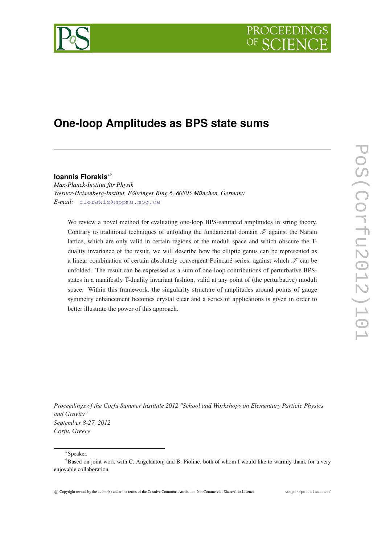# PROCEEDIN



# **One-loop Amplitudes as BPS state sums**

# **Ioannis Florakis**∗†

*Max-Planck-Institut für Physik Werner-Heisenberg-Institut, Föhringer Ring 6, 80805 München, Germany E-mail:* [florakis@mppmu.mpg.de](mailto: florakis@mppmu.mpg.de )

We review a novel method for evaluating one-loop BPS-saturated amplitudes in string theory. Contrary to traditional techniques of unfolding the fundamental domain  $\mathscr F$  against the Narain lattice, which are only valid in certain regions of the moduli space and which obscure the Tduality invariance of the result, we will describe how the elliptic genus can be represented as a linear combination of certain absolutely convergent Poincaré series, against which  $\mathscr F$  can be unfolded. The result can be expressed as a sum of one-loop contributions of perturbative BPSstates in a manifestly T-duality invariant fashion, valid at any point of (the perturbative) moduli space. Within this framework, the singularity structure of amplitudes around points of gauge symmetry enhancement becomes crystal clear and a series of applications is given in order to better illustrate the power of this approach.

*Proceedings of the Corfu Summer Institute 2012 "School and Workshops on Elementary Particle Physics and Gravity" September 8-27, 2012 Corfu, Greece*

<sup>∗</sup>Speaker.

<sup>†</sup>Based on joint work with C. Angelantonj and B. Pioline, both of whom I would like to warmly thank for a very enjoyable collaboration.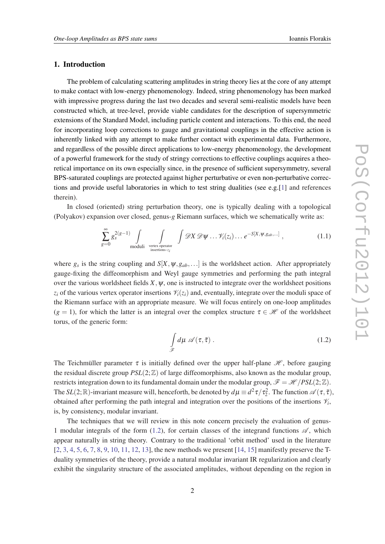# 1. Introduction

The problem of calculating scattering amplitudes in string theory lies at the core of any attempt to make contact with low-energy phenomenology. Indeed, string phenomenology has been marked with impressive progress during the last two decades and several semi-realistic models have been constructed which, at tree-level, provide viable candidates for the description of supersymmetric extensions of the Standard Model, including particle content and interactions. To this end, the need for incorporating loop corrections to gauge and gravitational couplings in the effective action is inherently linked with any attempt to make further contact with experimental data. Furthermore, and regardless of the possible direct applications to low-energy phenomenology, the development of a powerful framework for the study of stringy corrections to effective couplings acquires a theoretical importance on its own especially since, in the presence of sufficient supersymmetry, several BPS-saturated couplings are protected against higher perturbative or even non-perturbative correc-tions and provide useful laboratories in which to test string dualities (see e.g.[[1](#page-13-0)] and references therein).

In closed (oriented) string perturbation theory, one is typically dealing with a topological (Polyakov) expansion over closed, genus-*g* Riemann surfaces, which we schematically write as:

$$
\sum_{g=0}^{\infty} g_s^{2(g-1)} \int_{\text{moduli}} \int_{\text{vertex operator} \atop \text{insertions } z_i} \int \mathcal{D}X \mathcal{D}\Psi \dots \mathcal{V}_i(z_i) \dots e^{-S[X,\Psi,g_{ab},\dots]}, \qquad (1.1)
$$

where  $g_s$  is the string coupling and  $S[X, \psi, g_{ab}, \ldots]$  is the worldsheet action. After appropriately gauge-fixing the diffeomorphism and Weyl gauge symmetries and performing the path integral over the various worldsheet fields  $X$ ,  $\psi$ , one is instructed to integrate over the worldsheet positions  $z_i$  of the various vertex operator insertions  $\mathcal{V}_i(z_i)$  and, eventually, integrate over the moduli space of the Riemann surface with an appropriate measure. We will focus entirely on one-loop amplitudes  $(g = 1)$ , for which the latter is an integral over the complex structure  $\tau \in \mathcal{H}$  of the worldsheet torus, of the generic form:

$$
\int_{\mathscr{F}} d\mu \,\mathscr{A}(\tau,\bar{\tau})\,.
$$
\n(1.2)

The Teichmüller parameter  $\tau$  is initially defined over the upper half-plane  $\mathcal{H}$ , before gauging the residual discrete group  $PSL(2;\mathbb{Z})$  of large diffeomorphisms, also known as the modular group, restricts integration down to its fundamental domain under the modular group,  $\mathscr{F} = \mathscr{H}/PSL(2;\mathbb{Z})$ . The  $SL(2;\mathbb{R})$ -invariant measure will, henceforth, be denoted by  $d\mu \equiv d^2\tau/\tau_2^2$ . The function  $\mathscr{A}(\tau,\bar{\tau})$ , obtained after performing the path integral and integration over the positions of the insertions  $\mathcal{V}_i$ , is, by consistency, modular invariant.

The techniques that we will review in this note concern precisely the evaluation of genus-1 modular integrals of the form (1.2), for certain classes of the integrand functions  $\mathscr{A}$ , which appear naturally in string theory. Contrary to the traditional 'orbit method' used in the literature  $[2, 3, 4, 5, 6, 7, 8, 9, 10, 11, 12, 13]$  $[2, 3, 4, 5, 6, 7, 8, 9, 10, 11, 12, 13]$  $[2, 3, 4, 5, 6, 7, 8, 9, 10, 11, 12, 13]$  $[2, 3, 4, 5, 6, 7, 8, 9, 10, 11, 12, 13]$  $[2, 3, 4, 5, 6, 7, 8, 9, 10, 11, 12, 13]$  $[2, 3, 4, 5, 6, 7, 8, 9, 10, 11, 12, 13]$  $[2, 3, 4, 5, 6, 7, 8, 9, 10, 11, 12, 13]$  $[2, 3, 4, 5, 6, 7, 8, 9, 10, 11, 12, 13]$  $[2, 3, 4, 5, 6, 7, 8, 9, 10, 11, 12, 13]$  $[2, 3, 4, 5, 6, 7, 8, 9, 10, 11, 12, 13]$  $[2, 3, 4, 5, 6, 7, 8, 9, 10, 11, 12, 13]$  $[2, 3, 4, 5, 6, 7, 8, 9, 10, 11, 12, 13]$  $[2, 3, 4, 5, 6, 7, 8, 9, 10, 11, 12, 13]$  $[2, 3, 4, 5, 6, 7, 8, 9, 10, 11, 12, 13]$  $[2, 3, 4, 5, 6, 7, 8, 9, 10, 11, 12, 13]$  $[2, 3, 4, 5, 6, 7, 8, 9, 10, 11, 12, 13]$  $[2, 3, 4, 5, 6, 7, 8, 9, 10, 11, 12, 13]$  $[2, 3, 4, 5, 6, 7, 8, 9, 10, 11, 12, 13]$  $[2, 3, 4, 5, 6, 7, 8, 9, 10, 11, 12, 13]$  $[2, 3, 4, 5, 6, 7, 8, 9, 10, 11, 12, 13]$  $[2, 3, 4, 5, 6, 7, 8, 9, 10, 11, 12, 13]$  $[2, 3, 4, 5, 6, 7, 8, 9, 10, 11, 12, 13]$  $[2, 3, 4, 5, 6, 7, 8, 9, 10, 11, 12, 13]$  $[2, 3, 4, 5, 6, 7, 8, 9, 10, 11, 12, 13]$  $[2, 3, 4, 5, 6, 7, 8, 9, 10, 11, 12, 13]$ , the new methods we present  $[14, 15]$  $[14, 15]$  $[14, 15]$  $[14, 15]$  $[14, 15]$  manifestly preserve the Tduality symmetries of the theory, provide a natural modular invariant IR regularization and clearly exhibit the singularity structure of the associated amplitudes, without depending on the region in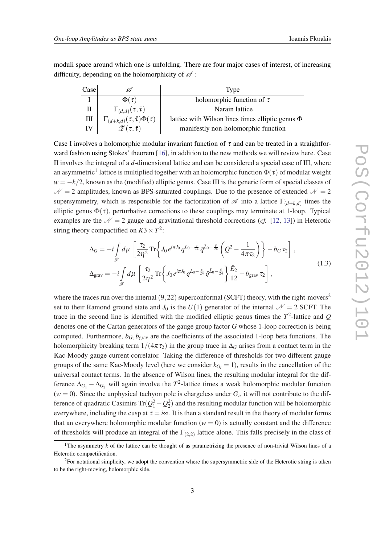moduli space around which one is unfolding. There are four major cases of interest, of increasing difficulty, depending on the holomorphicity of  $\mathscr A$ :

| $\text{Case}$ | .Ă                                            | Type                                                  |
|---------------|-----------------------------------------------|-------------------------------------------------------|
|               | $\Phi(\tau)$                                  | holomorphic function of $\tau$                        |
| П             | $\Gamma_{(d,d)}(\tau,\bar{\tau})$             | Narain lattice                                        |
| Ш             | $\Gamma_{(d+k,d)}(\tau,\bar{\tau})\Phi(\tau)$ | lattice with Wilson lines times elliptic genus $\Phi$ |
| IV            | $\mathscr{Z}(\tau,\bar{\tau})$                | manifestly non-holomorphic function                   |

Case I involves a holomorphic modular invariant function of  $\tau$  and can be treated in a straightforward fashion using Stokes' theorem [[16\]](#page-13-0), in addition to the new methods we will review here. Case II involves the integral of a *d*-dimensional lattice and can be considered a special case of III, where an asymmetric $^1$  lattice is multiplied together with an holomorphic function  $\Phi(\tau)$  of modular weight  $w = -k/2$ , known as the (modified) elliptic genus. Case III is the generic form of special classes of  $N = 2$  amplitudes, known as BPS-saturated couplings. Due to the presence of extended  $N = 2$ supersymmetry, which is responsible for the factorization of  $\mathscr A$  into a lattice  $\Gamma_{(d+k,d)}$  times the elliptic genus  $\Phi(\tau)$ , perturbative corrections to these couplings may terminate at 1-loop. Typical examples are the  $\mathcal{N} = 2$  gauge and gravitational threshold corrections (*cf.* [\[12](#page-13-0), [13](#page-13-0)]) in Heterotic string theory compactified on  $K3 \times T^2$ :

$$
\Delta_G = -i \int_{\mathscr{F}} d\mu \left[ \frac{\tau_2}{2\eta^2} \text{Tr} \left\{ J_0 e^{i\pi J_0} q^{L_0 - \frac{c}{24}} \bar{q}^{\bar{L}_0 - \frac{\hat{c}}{24}} \left( Q^2 - \frac{1}{4\pi\tau_2} \right) \right\} - b_G \tau_2 \right],
$$
  

$$
\Delta_{\text{grav}} = -i \int_{\mathscr{F}} d\mu \left[ \frac{\tau_2}{2\eta^2} \text{Tr} \left\{ J_0 e^{i\pi J_0} q^{L_0 - \frac{c}{24}} \bar{q}^{\bar{L}_0 - \frac{\hat{c}}{24}} \right\} \frac{\hat{E}_2}{12} - b_{\text{grav}} \tau_2 \right],
$$
(1.3)

where the traces run over the internal  $(9,22)$  superconformal (SCFT) theory, with the right-movers<sup>2</sup> set to their Ramond ground state and  $J_0$  is the  $U(1)$  generator of the internal  $\mathcal{N} = 2$  SCFT. The trace in the second line is identified with the modified elliptic genus times the  $T^2$ -lattice and  $Q$ denotes one of the Cartan generators of the gauge group factor *G* whose 1-loop correction is being computed. Furthermore,  $b_G$ ,  $b_{grav}$  are the coefficients of the associated 1-loop beta functions. The holomorphicity breaking term  $1/(4\pi\tau_2)$  in the group trace in  $\Delta_G$  arises from a contact term in the Kac-Moody gauge current correlator. Taking the difference of thresholds for two different gauge groups of the same Kac-Moody level (here we consider  $k_{G_i} = 1$ ), results in the cancellation of the universal contact terms. In the absence of Wilson lines, the resulting modular integral for the difference  $\Delta_{G_1} - \Delta_{G_2}$  will again involve the  $T^2$ -lattice times a weak holomorphic modular function  $(w = 0)$ . Since the unphysical tachyon pole is chargeless under  $G_i$ , it will not contribute to the difference of quadratic Casimirs Tr $(Q_1^2 - Q_2^2)$  and the resulting modular function will be holomorphic everywhere, including the cusp at  $\tau = i \infty$ . It is then a standard result in the theory of modular forms that an everywhere holomorphic modular function  $(w = 0)$  is actually constant and the difference of thresholds will produce an integral of the  $\Gamma_{(2,2)}$  lattice alone. This falls precisely in the class of

<sup>&</sup>lt;sup>1</sup>The asymmetry  $k$  of the lattice can be thought of as parametrizing the presence of non-trivial Wilson lines of a Heterotic compactification.

<sup>&</sup>lt;sup>2</sup>For notational simplicity, we adopt the convention where the supersymmetric side of the Heterotic string is taken to be the right-moving, holomorphic side.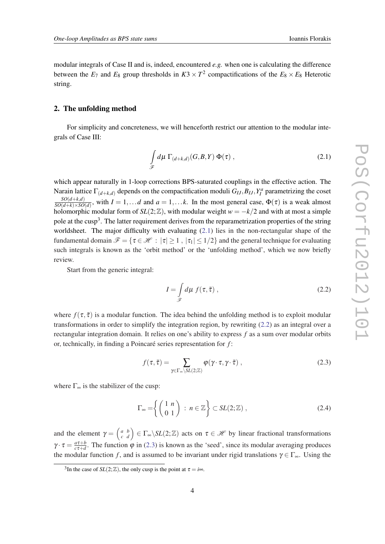<span id="page-3-0"></span>modular integrals of Case II and is, indeed, encountered *e.g.* when one is calculating the difference between the  $E_7$  and  $E_8$  group thresholds in  $K3 \times T^2$  compactifications of the  $E_8 \times E_8$  Heterotic string.

# 2. The unfolding method

For simplicity and concreteness, we will henceforth restrict our attention to the modular integrals of Case III:

$$
\int_{\mathscr{F}} d\mu \, \Gamma_{(d+k,d)}(G,B,Y) \, \Phi(\tau) \,, \tag{2.1}
$$

which appear naturally in 1-loop corrections BPS-saturated couplings in the effective action. The Narain lattice  $\Gamma_{(d+k,d)}$  depends on the compactification moduli  $G_{IJ}, B_{IJ}, Y_I^a$  parametrizing the coset *SO*(*d*+*k*,*d*)  $\frac{SO(a+k, d)}{SO(d+k)\times SO(d)}$ , with  $I = 1,...d$  and  $a = 1,...k$ . In the most general case,  $\Phi(\tau)$  is a weak almost holomorphic modular form of  $SL(2;\mathbb{Z})$ , with modular weight  $w = -k/2$  and with at most a simple pole at the cusp<sup>3</sup>. The latter requirement derives from the reparametrization properties of the string worldsheet. The major difficulty with evaluating (2.1) lies in the non-rectangular shape of the fundamental domain  $\mathcal{F} = \{ \tau \in \mathcal{H} : |\tau| \geq 1, |\tau_1| \leq 1/2 \}$  and the general technique for evaluating such integrals is known as the 'orbit method' or the 'unfolding method', which we now briefly review.

Start from the generic integral:

$$
I = \int_{\mathscr{F}} d\mu \, f(\tau, \bar{\tau}) \,, \tag{2.2}
$$

where  $f(\tau, \bar{\tau})$  is a modular function. The idea behind the unfolding method is to exploit modular transformations in order to simplify the integration region, by rewriting (2.2) as an integral over a rectangular integration domain. It relies on one's ability to express *f* as a sum over modular orbits or, technically, in finding a Poincaré series representation for *f* :

$$
f(\tau,\bar{\tau}) = \sum_{\gamma \in \Gamma_{\infty} \backslash SL(2;\mathbb{Z})} \varphi(\gamma \cdot \tau, \gamma \cdot \bar{\tau}) ,
$$
 (2.3)

where  $\Gamma_{\infty}$  is the stabilizer of the cusp:

$$
\Gamma_{\infty} = \left\{ \begin{pmatrix} 1 & n \\ 0 & 1 \end{pmatrix} : n \in \mathbb{Z} \right\} \subset SL(2; \mathbb{Z}) , \tag{2.4}
$$

and the element  $\gamma = \begin{pmatrix} a & b \\ c & d \end{pmatrix}$ *c b*  $\mathcal{L}_d^b$  =  $\Gamma_\infty \backslash SL(2;\mathbb{Z})$  acts on  $\tau \in \mathcal{H}$  by linear fractional transformations  $\gamma\cdot\tau=\frac{a\tau+b}{c\tau+d}$  $\frac{a\tau+b}{c\tau+d}$ . The function  $\varphi$  in (2.3) is known as the 'seed', since its modular averaging produces the modular function *f*, and is assumed to be invariant under rigid translations  $\gamma \in \Gamma_{\infty}$ . Using the

<sup>&</sup>lt;sup>3</sup>In the case of *SL*(2;  $\mathbb{Z}$ ), the only cusp is the point at  $\tau = i \infty$ .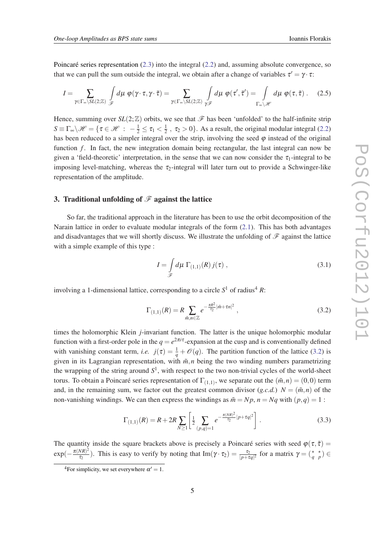<span id="page-4-0"></span>Poincaré series representation ([2.3](#page-3-0)) into the integral ([2.2\)](#page-3-0) and, assuming absolute convergence, so that we can pull the sum outside the integral, we obtain after a change of variables  $\tau' = \gamma \cdot \tau$ :

$$
I = \sum_{\gamma \in \Gamma_{\infty} \backslash SL(2;\mathbb{Z})} \int_{\mathscr{F}} d\mu \; \varphi(\gamma \cdot \tau, \gamma \cdot \bar{\tau}) = \sum_{\gamma \in \Gamma_{\infty} \backslash SL(2;\mathbb{Z})} \int_{\gamma \mathscr{F}} d\mu \; \varphi(\tau', \bar{\tau}') = \int_{\Gamma_{\infty} \backslash \mathscr{H}} d\mu \; \varphi(\tau, \bar{\tau}) \; . \tag{2.5}
$$

Hence, summing over  $SL(2;\mathbb{Z})$  orbits, we see that  $\mathscr{F}$  has been 'unfolded' to the half-infinite strip  $S \equiv \Gamma_{\infty} \backslash \mathscr{H} = \{ \tau \in \mathscr{H} \; : \; -\frac{1}{2} \leq \tau_1 < \frac{1}{2}$  $\frac{1}{2}$ ,  $\tau_2 > 0$ . As a result, the original modular integral ([2.2](#page-3-0)) has been reduced to a simpler integral over the strip, involving the seed  $\varphi$  instead of the original function *f*. In fact, the new integration domain being rectangular, the last integral can now be given a 'field-theoretic' interpretation, in the sense that we can now consider the  $\tau_1$ -integral to be imposing level-matching, whereas the  $\tau_2$ -integral will later turn out to provide a Schwinger-like representation of the amplitude.

# 3. Traditional unfolding of  $\mathscr F$  against the lattice

So far, the traditional approach in the literature has been to use the orbit decomposition of the Narain lattice in order to evaluate modular integrals of the form  $(2.1)$  $(2.1)$ . This has both advantages and disadvantages that we will shortly discuss. We illustrate the unfolding of  $\mathscr F$  against the lattice with a simple example of this type :

$$
I = \int_{\mathscr{F}} d\mu \, \Gamma_{(1,1)}(R) \, j(\tau) \,, \tag{3.1}
$$

involving a 1-dimensional lattice, corresponding to a circle  $S^1$  of radius<sup>4</sup> *R*:

$$
\Gamma_{(1,1)}(R) = R \sum_{\tilde{m},n \in \mathbb{Z}} e^{-\frac{\pi R^2}{\tau_2} |\tilde{m} + \tau n|^2}, \qquad (3.2)
$$

times the holomorphic Klein *j*-invariant function. The latter is the unique holomorphic modular function with a first-order pole in the  $q = e^{2\pi i \tau}$ -expansion at the cusp and is conventionally defined with vanishing constant term, *i.e.*  $j(\tau) = \frac{1}{q} + \mathcal{O}(q)$ . The partition function of the lattice (3.2) is given in its Lagrangian representation, with  $\tilde{m}$ , *n* being the two winding numbers parametrizing the wrapping of the string around  $S<sup>1</sup>$ , with respect to the two non-trivial cycles of the world-sheet torus. To obtain a Poincaré series representation of  $\Gamma_{(1,1)}$ , we separate out the  $(\tilde{m}, n) = (0, 0)$  term and, in the remaining sum, we factor out the greatest common divisor  $(g.c.d.)$   $N = (\tilde{m}, n)$  of the non-vanishing windings. We can then express the windings as  $\tilde{m} = Np$ ,  $n = Nq$  with  $(p,q) = 1$ :

$$
\Gamma_{(1,1)}(R) = R + 2R \sum_{N \ge 1} \left[ \frac{1}{2} \sum_{(p,q)=1} e^{-\frac{\pi (NR)^2}{\tau_2} |p + \tau q|^2} \right].
$$
\n(3.3)

The quantity inside the square brackets above is precisely a Poincaré series with seed  $\varphi(\tau, \bar{\tau}) =$  $\exp(-\frac{\pi(NR)^2}{\tau_2})$  $\frac{(NR)^2}{\tau_2}$ ). This is easy to verify by noting that Im( $\gamma \cdot \tau_2$ ) =  $\frac{\tau_2}{|p+\tau q|^2}$  for a matrix  $\gamma = \gamma$  $\star$ *p* ) ∈

<sup>&</sup>lt;sup>4</sup>For simplicity, we set everywhere  $\alpha' = 1$ .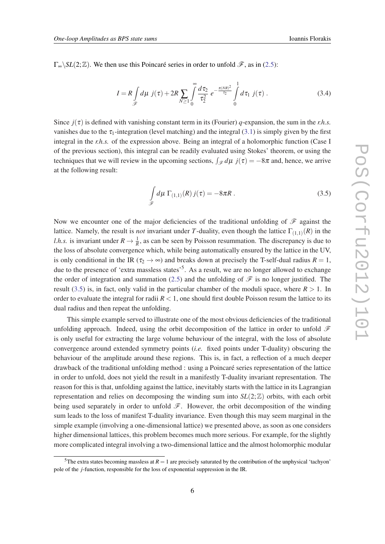<span id="page-5-0"></span> $\Gamma_{\infty}$ \SL(2; Z). We then use this Poincaré series in order to unfold  $\mathscr{F}$ , as in [\(2.5\)](#page-4-0):

$$
I = R \int_{\mathscr{F}} d\mu \ j(\tau) + 2R \sum_{N \ge 1} \int_{0}^{\infty} \frac{d\tau_2}{\tau_2^2} \ e^{-\frac{\pi (NR)^2}{\tau_2}} \int_{0}^{1} d\tau_1 \ j(\tau) \ . \tag{3.4}
$$

Since  $j(\tau)$  is defined with vanishing constant term in its (Fourier) *q*-expansion, the sum in the *r.h.s.* vanishes due to the  $\tau_1$ -integration (level matching) and the integral ([3.1](#page-4-0)) is simply given by the first integral in the *r.h.s.* of the expression above. Being an integral of a holomorphic function (Case I of the previous section), this integral can be readily evaluated using Stokes' theorem, or using the techniques that we will review in the upcoming sections,  $\int_{\mathscr{F}} d\mu j(\tau) = -8\pi$  and, hence, we arrive at the following result:

$$
\int_{\mathscr{F}} d\mu \, \Gamma_{(1,1)}(R) \, j(\tau) = -8\pi R \,. \tag{3.5}
$$

Now we encounter one of the major deficiencies of the traditional unfolding of  $\mathscr F$  against the lattice. Namely, the result is *not* invariant under *T*-duality, even though the lattice  $\Gamma_{(1,1)}(R)$  in the *l.h.s.* is invariant under  $R \to \frac{1}{R}$ , as can be seen by Poisson resummation. The discrepancy is due to the loss of absolute convergence which, while being automatically ensured by the lattice in the UV, is only conditional in the IR ( $\tau_2 \rightarrow \infty$ ) and breaks down at precisely the T-self-dual radius  $R = 1$ , due to the presence of 'extra massless states'<sup>5</sup>. As a result, we are no longer allowed to exchange the order of integration and summation ([2.5](#page-4-0)) and the unfolding of  $\mathscr F$  is no longer justified. The result (3.5) is, in fact, only valid in the particular chamber of the moduli space, where  $R > 1$ . In order to evaluate the integral for radii  $R < 1$ , one should first double Poisson resum the lattice to its dual radius and then repeat the unfolding.

This simple example served to illustrate one of the most obvious deficiencies of the traditional unfolding approach. Indeed, using the orbit decomposition of the lattice in order to unfold  $\mathscr F$ is only useful for extracting the large volume behaviour of the integral, with the loss of absolute convergence around extended symmetry points (*i.e.* fixed points under T-duality) obscuring the behaviour of the amplitude around these regions. This is, in fact, a reflection of a much deeper drawback of the traditional unfolding method : using a Poincaré series representation of the lattice in order to unfold, does not yield the result in a manifestly T-duality invariant representation. The reason for this is that, unfolding against the lattice, inevitably starts with the lattice in its Lagrangian representation and relies on decomposing the winding sum into  $SL(2;\mathbb{Z})$  orbits, with each orbit being used separately in order to unfold  $\mathscr F$ . However, the orbit decomposition of the winding sum leads to the loss of manifest T-duality invariance. Even though this may seem marginal in the simple example (involving a one-dimensional lattice) we presented above, as soon as one considers higher dimensional lattices, this problem becomes much more serious. For example, for the slightly more complicated integral involving a two-dimensional lattice and the almost holomorphic modular

<sup>&</sup>lt;sup>5</sup>The extra states becoming massless at  $R = 1$  are precisely saturated by the contribution of the unphysical 'tachyon' pole of the *j*-function, responsible for the loss of exponential suppression in the IR.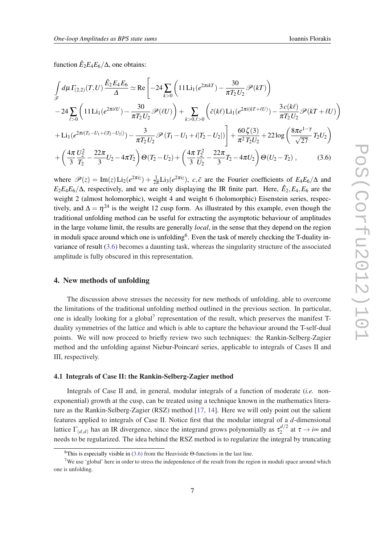<span id="page-6-0"></span>function  $\hat{E}_2 E_4 E_6 / \Delta$ , one obtains:

$$
\int_{\mathscr{F}} d\mu \Gamma_{(2,2)}(T,U) \frac{\hat{E}_2 E_4 E_6}{\Delta} \simeq \text{Re}\left[-24 \sum_{k>0} \left(11 \text{Li}_1(e^{2\pi i kT}) - \frac{30}{\pi T_2 U_2} \mathscr{P}(kT)\right)\right.\n- 24 \sum_{\ell>0} \left(11 \text{Li}_1(e^{2\pi i \ell U}) - \frac{30}{\pi T_2 U_2} \mathscr{P}(\ell U)\right) + \sum_{k>0,\ell>0} \left(\tilde{c}(k\ell) \text{Li}_1(e^{2\pi i (kT + \ell U)}) - \frac{3c(k\ell)}{\pi T_2 U_2} \mathscr{P}(kT + \ell U)\right)\n+ \text{Li}_1(e^{2\pi i (T_1 - U_1 + i|T_2 - U_2|)}) - \frac{3}{\pi T_2 U_2} \mathscr{P}(T_1 - U_1 + i|T_2 - U_2|) + \frac{60 \zeta(3)}{\pi^2 T_2 U_2} + 22 \log\left(\frac{8\pi e^{1-\gamma}}{\sqrt{27}} T_2 U_2\right)\n+ \left(\frac{4\pi}{3} \frac{U_2^2}{T_2} - \frac{22\pi}{3} U_2 - 4\pi T_2\right) \Theta(T_2 - U_2) + \left(\frac{4\pi}{3} \frac{T_2^2}{U_2} - \frac{22\pi}{3} T_2 - 4\pi U_2\right) \Theta(U_2 - T_2), \quad (3.6)
$$

where  $\mathscr{P}(z) = \text{Im}(z) \text{Li}_2(e^{2\pi i z}) + \frac{1}{2\pi} \text{Li}_3(e^{2\pi i z})$ , c,  $\tilde{c}$  are the Fourier coefficients of  $E_4E_6/\Delta$  and  $E_2E_4E_6/\Delta$ , respectively, and we are only displaying the IR finite part. Here,  $\hat{E}_2, E_4, E_6$  are the weight 2 (almost holomorphic), weight 4 and weight 6 (holomorphic) Eisenstein series, respectively, and  $\Delta = \eta^{24}$  is the weight 12 cusp form. As illustrated by this example, even though the traditional unfolding method can be useful for extracting the asymptotic behaviour of amplitudes in the large volume limit, the results are generally *local*, in the sense that they depend on the region in moduli space around which one is unfolding<sup>6</sup>. Even the task of merely checking the T-duality invariance of result (3.6) becomes a daunting task, whereas the singularity structure of the associated amplitude is fully obscured in this representation.

### 4. New methods of unfolding

The discussion above stresses the necessity for new methods of unfolding, able to overcome the limitations of the traditional unfolding method outlined in the previous section. In particular, one is ideally looking for a global<sup>7</sup> representation of the result, which preserves the manifest Tduality symmetries of the lattice and which is able to capture the behaviour around the T-self-dual points. We will now proceed to briefly review two such techniques: the Rankin-Selberg-Zagier method and the unfolding against Niebur-Poincaré series, applicable to integrals of Cases II and III, respectively.

#### 4.1 Integrals of Case II: the Rankin-Selberg-Zagier method

Integrals of Case II and, in general, modular integrals of a function of moderate (*i.e.* nonexponential) growth at the cusp, can be treated using a technique known in the mathematics literature as the Rankin-Selberg-Zagier (RSZ) method [[17,](#page-13-0) [14](#page-13-0)]. Here we will only point out the salient features applied to integrals of Case II. Notice first that the modular integral of a *d*-dimensional lattice  $\Gamma_{(d,d)}$  has an IR divergence, since the integrand grows polynomially as  $\tau_2^{d/2}$  $i_2^{a/2}$  at  $\tau \rightarrow i_{\infty}$  and needs to be regularized. The idea behind the RSZ method is to regularize the integral by truncating

<sup>&</sup>lt;sup>6</sup>This is especially visible in (3.6) from the Heaviside Θ-functions in the last line.

<sup>&</sup>lt;sup>7</sup>We use 'global' here in order to stress the independence of the result from the region in moduli space around which one is unfolding.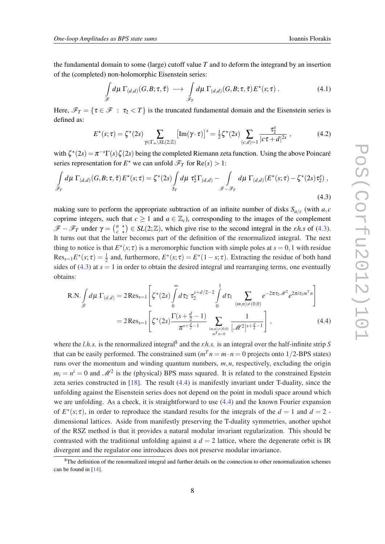the fundamental domain to some (large) cutoff value *T* and to deform the integrand by an insertion of the (completed) non-holomorphic Eisenstein series:

$$
\int_{\mathscr{F}} d\mu \, \Gamma_{(d,d)}(G,B;\tau,\bar{\tau}) \longrightarrow \int_{\mathscr{F}_T} d\mu \, \Gamma_{(d,d)}(G,B;\tau,\bar{\tau}) E^{\star}(s;\tau) . \tag{4.1}
$$

Here,  $\mathscr{F}_T = \{ \tau \in \mathscr{F} : \tau_2 < T \}$  is the truncated fundamental domain and the Eisenstein series is defined as:

$$
E^{\star}(s;\tau) = \zeta^{\star}(2s) \sum_{\gamma \in \Gamma_{\infty} \backslash SL(2;\mathbb{Z})} \left[ \text{Im}(\gamma \cdot \tau) \right]^s = \frac{1}{2} \zeta^{\star}(2s) \sum_{(c,d)=1} \frac{\tau_2^s}{|c\tau + d|^{2s}} , \qquad (4.2)
$$

with  $\zeta^*(2s) = \pi^{-s}\Gamma(s)\zeta(2s)$  being the completed Riemann zeta function. Using the above Poincaré series representation for  $E^*$  we can unfold  $\mathcal{F}_T$  for  $Re(s) > 1$ :

$$
\int_{\mathscr{F}_T} d\mu \, \Gamma_{(d,d)}(G, B; \tau, \bar{\tau}) E^{\star}(s; \tau) = \zeta^{\star}(2s) \int_{S_T} d\mu \, \tau_2^s \Gamma_{(d,d)} - \int_{\mathscr{F} - \mathscr{F}_T} d\mu \, \Gamma_{(d,d)}(E^{\star}(s; \tau) - \zeta^{\star}(2s) \tau_2^s) ,
$$
\n(4.3)

making sure to perform the appropriate subtraction of an infinite number of disks  $S_{a/c}$  (with  $a, c$ coprime integers, such that  $c \ge 1$  and  $a \in \mathbb{Z}_c$ , corresponding to the images of the complement  $\mathscr{F} - \mathscr{F}_T$  under  $\gamma = \begin{pmatrix} a \\ c \end{pmatrix}$ *c*  $\star$  $\chi^*$   $\chi^*$   $\in$  *SL*(2;  $\mathbb{Z}$ ), which give rise to the second integral in the *r.h.s* of (4.3). It turns out that the latter becomes part of the definition of the renormalized integral. The next thing to notice is that  $E^*(s; \tau)$  is a meromorphic function with simple poles at  $s = 0, 1$  with residue  $Res_{s=1}E^*(s; \tau) = \frac{1}{2}$  and, furthermore,  $E^*(s; \tau) = E^*(1-s; \tau)$ . Extracting the residue of both hand sides of  $(4.3)$  at  $s = 1$  in order to obtain the desired integral and rearranging terms, one eventually obtains:

$$
\text{R.N.} \int_{\mathscr{F}} d\mu \, \Gamma_{(d,d)} = 2 \operatorname{Res}_{s=1} \left[ \zeta^*(2s) \int_0^{\infty} d\tau_2 \, \tau_2^{s+d/2-2} \int_0^1 d\tau_1 \sum_{\substack{(m,n) \neq (0,0) \\ (m,n) \neq (0,0)}} e^{-2\pi \tau_2 \mathscr{M}^2} e^{2\pi i \tau_1 m^T n} \right]
$$
\n
$$
= 2 \operatorname{Res}_{s=1} \left[ \zeta^*(2s) \frac{\Gamma(s+\frac{d}{2}-1)}{\pi^{s+\frac{d}{2}-1}} \sum_{\substack{(m,n) \neq (0,0) \\ m^T n = 0}} \frac{1}{[\mathscr{M}^2]^{s+\frac{d}{2}-1}} \right], \tag{4.4}
$$

where the *l.h.s.* is the renormalized integral<sup>8</sup> and the *r.h.s.* is an integral over the half-infinite strip *S* that can be easily performed. The constrained sum  $(m^T n = m \cdot n = 0$  projects onto 1/2-BPS states) runs over the momentum and winding quantum numbers, *m*,*n*, respectively, excluding the origin  $m_i = n^i = 0$  and  $\mathcal{M}^2$  is the (physical) BPS mass squared. It is related to the constrained Epstein zeta series constructed in [\[18\]](#page-13-0). The result (4.4) is manifestly invariant under T-duality, since the unfolding against the Eisenstein series does not depend on the point in moduli space around which we are unfolding. As a check, it is straightforward to use (4.4) and the known Fourier expansion of  $E^*(s; \tau)$ , in order to reproduce the standard results for the integrals of the  $d = 1$  and  $d = 2$ . dimensional lattices. Aside from manifestly preserving the T-duality symmetries, another upshot of the RSZ method is that it provides a natural modular invariant regularization. This should be contrasted with the traditional unfolding against a  $d = 2$  lattice, where the degenerate orbit is IR divergent and the regulator one introduces does not preserve modular invariance.

<sup>&</sup>lt;sup>8</sup>The definition of the renormalized integral and further details on the connection to other renormalization schemes can be found in [\[14](#page-13-0)].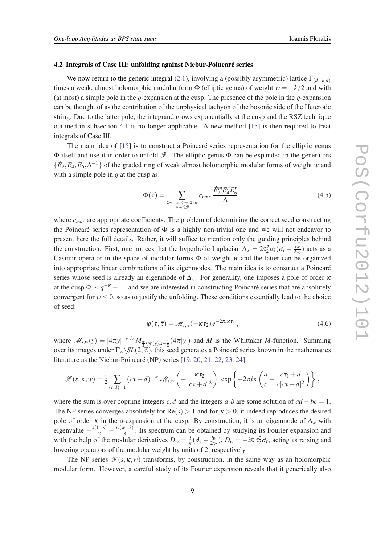#### 4.2 Integrals of Case III: unfolding against Niebur-Poincaré series

We now return to the generic integral [\(2.1\)](#page-3-0), involving a (possibly asymmetric) lattice  $\Gamma_{(d+k,d)}$ times a weak, almost holomorphic modular form  $\Phi$  (elliptic genus) of weight  $w = -k/2$  and with (at most) a simple pole in the *q*-expansion at the cusp. The presence of the pole in the *q*-expansion can be thought of as the contribution of the unphysical tachyon of the bosonic side of the Heterotic string. Due to the latter pole, the integrand grows exponentially at the cusp and the RSZ technique outlined in subsection [4.1](#page-6-0) is no longer applicable. A new method [[15\]](#page-13-0) is then required to treat integrals of Case III.

The main idea of [\[15](#page-13-0)] is to construct a Poincaré series representation for the elliptic genus  $\Phi$  itself and use it in order to unfold  $\mathscr F$ . The elliptic genus  $\Phi$  can be expanded in the generators  $\{\hat{E}_2, E_4, E_6, \Delta^{-1}\}\$  of the graded ring of weak almost holomorphic modular forms of weight *w* and with a simple pole in *q* at the cusp as:

$$
\Phi(\tau) = \sum_{2m+4n+6r=12+w \atop m,n,r\geq 0} c_{mnr} \frac{\hat{E}_2^m E_4^n E_6^r}{\Delta} ,
$$
\n(4.5)

where  $c_{\text{mnr}}$  are appropriate coefficients. The problem of determining the correct seed constructing the Poincaré series representation of  $\Phi$  is a highly non-trivial one and we will not endeavor to present here the full details. Rather, it will suffice to mention only the guiding principles behind the construction. First, one notices that the hyperbolic Laplacian  $\Delta_w = 2\tau_2^2 \partial_{\bar{\tau}} (\partial_{\tau} - \frac{i\omega_0}{2\tau_0})$  $\frac{iw}{2\tau_2}$ ) acts as a Casimir operator in the space of modular forms Φ of weight *w* and the latter can be organized into appropriate linear combinations of its eigenmodes. The main idea is to construct a Poincaré series whose seed is already an eigenmode of ∆*w*. For generality, one imposes a pole of order κ at the cusp  $\Phi \sim q^{-\kappa} + ...$  and we are interested in constructing Poincaré series that are absolutely convergent for  $w \leq 0$ , so as to justify the unfolding. These conditions essentially lead to the choice of seed:

$$
\varphi(\tau,\bar{\tau}) = \mathcal{M}_{s,w}(-\kappa \tau_2) e^{-2\pi i \kappa \tau_1}, \qquad (4.6)
$$

where  $M_{s,w}(y) = |4\pi y|^{-w/2} M_{\frac{w}{2}sgn(y), s-\frac{1}{2}}(4\pi |y|)$  and *M* is the Whittaker *M*-function. Summing over its images under Γ∞\*SL*(2;Z), this seed generates a Poincaré series known in the mathematics literature as the Niebur-Poincaré (NP) series [[19,](#page-13-0) [20](#page-13-0), [21](#page-14-0), [22,](#page-14-0) [23](#page-14-0), [24\]](#page-14-0):

$$
\mathscr{F}(s,\kappa,w)=\frac{1}{2}\sum_{(c,d)=1}(c\tau+d)^{-w}\mathscr{M}_{s,w}\left(-\frac{\kappa\tau_2}{|c\tau+d|^2}\right)\exp\left\{-2\pi i\kappa\left(\frac{a}{c}-\frac{c\tau_1+d}{c|c\tau+d|^2}\right)\right\},\,
$$

where the sum is over coprime integers *c*,*d* and the integers *a*,*b* are some solution of  $ad - bc = 1$ . The NP series converges absolutely for  $\text{Re}(s) > 1$  and for  $\kappa > 0$ , it indeed reproduces the desired pole of order  $\kappa$  in the *q*-expansion at the cusp. By construction, it is an eigenmode of  $\Delta_w$  with  $eigenvalue - \frac{s(1-s)}{2} - \frac{w(w+2)}{8}$  $\frac{8^{1+2}}{8}$ . Its spectrum can be obtained by studying its Fourier expansion and with the help of the modular derivatives  $D_w = \frac{i}{\pi}$  $\frac{i}{\pi}(\partial_{\tau}-\frac{iw}{2\tau_{2}}% -\frac{i\omega}{2}\varepsilon_{1}-\frac{i\omega}{2}\varepsilon_{2}-\frac{i\omega}{2}\varepsilon_{1}-\frac{i\omega}{2}(\varepsilon_{1}-\frac{i\omega}{2}\varepsilon_{2}-\frac{i\omega}{2}\varepsilon_{1}-\frac{i\omega}{2}\varepsilon_{2}$  $\frac{iw}{2\tau_2}$ ),  $\bar{D}_w = -i\pi \tau_2^2 \partial_{\bar{\tau}}$ , acting as raising and lowering operators of the modular weight by units of 2, respectively.

The NP series  $\mathcal{F}(s, \kappa, w)$  transforms, by construction, in the same way as an holomorphic modular form. However, a careful study of its Fourier expansion reveals that it generically also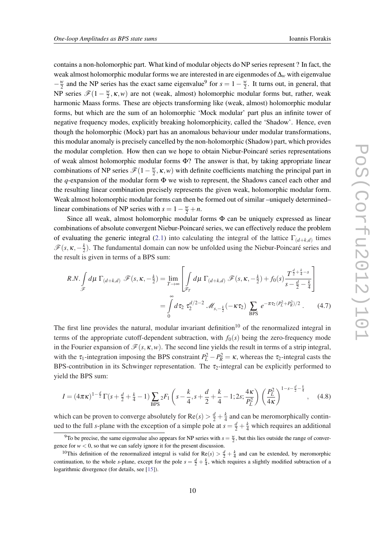<span id="page-9-0"></span>contains a non-holomorphic part. What kind of modular objects do NP series represent ? In fact, the weak almost holomorphic modular forms we are interested in are eigenmodes of ∆*<sup>w</sup>* with eigenvalue − *w*  $\frac{w}{2}$  and the NP series has the exact same eigenvalue<sup>9</sup> for  $s = 1 - \frac{w}{2}$  $\frac{w}{2}$ . It turns out, in general, that NP series  $\mathscr{F}(1-\frac{w}{2})$  $\frac{w}{2}$ ,  $\kappa$ ,  $w$ ) are not (weak, almost) holomorphic modular forms but, rather, weak harmonic Maass forms. These are objects transforming like (weak, almost) holomorphic modular forms, but which are the sum of an holomorphic 'Mock modular' part plus an infinite tower of negative frequency modes, explicitly breaking holomorphicity, called the 'Shadow'. Hence, even though the holomorphic (Mock) part has an anomalous behaviour under modular transformations, this modular anomaly is precisely cancelled by the non-holomorphic (Shadow) part, which provides the modular completion. How then can we hope to obtain Niebur-Poincaré series representations of weak almost holomorphic modular forms  $\Phi$ ? The answer is that, by taking appropriate linear combinations of NP series  $\mathscr{F}(1-\frac{w}{2})$  $\frac{w}{2}$ ,  $\kappa$ , *w*) with definite coefficients matching the principal part in the *q*-expansion of the modular form Φ we wish to represent, the Shadows cancel each other and the resulting linear combination precisely represents the given weak, holomorphic modular form. Weak almost holomorphic modular forms can then be formed out of similar –uniquely determined– linear combinations of NP series with  $s = 1 - \frac{w}{2} + n$ .

Since all weak, almost holomorphic modular forms  $\Phi$  can be uniquely expressed as linear combinations of absolute convergent Niebur-Poincaré series, we can effectively reduce the problem of evaluating the generic integral ([2.1\)](#page-3-0) into calculating the integral of the lattice  $\Gamma_{(d+k,d)}$  times  $\mathscr{F}(s,\kappa,-\frac{k}{2})$  $\frac{k}{2}$ ). The fundamental domain can now be unfolded using the Niebur-Poincaré series and the result is given in terms of a BPS sum:

$$
R.N. \int_{\mathscr{F}} d\mu \Gamma_{(d+k,d)} \mathscr{F}(s,\kappa,-\frac{k}{2}) = \lim_{T \to \infty} \left[ \int_{\mathscr{F}_T} d\mu \Gamma_{(d+k,d)} \mathscr{F}(s,\kappa,-\frac{k}{2}) + f_0(s) \frac{T^{\frac{d}{2}+\frac{k}{4}-s}}{s-\frac{d}{2}-\frac{k}{4}} \right]
$$

$$
= \int_0^\infty d\tau_2 \ \tau_2^{d/2-2} \ \mathscr{M}_{s,-\frac{k}{2}}(-\kappa \tau_2) \sum_{BPS} e^{-\pi \tau_2 (P_L^2 + P_R^2)/2} . \tag{4.7}
$$

The first line provides the natural, modular invariant definition<sup>10</sup> of the renormalized integral in terms of the appropriate cutoff-dependent subtraction, with  $f_0(s)$  being the zero-frequency mode in the Fourier expansion of  $\mathcal{F}(s, \kappa, w)$ . The second line yields the result in terms of a strip integral, with the  $\tau_1$ -integration imposing the BPS constraint  $P_L^2 - P_R^2 = \kappa$ , whereas the  $\tau_2$ -integral casts the BPS-contribution in its Schwinger representation. The  $\tau_2$ -integral can be explicitly performed to yield the BPS sum:

$$
I = (4\pi\kappa)^{1-\frac{d}{2}}\Gamma(s+\frac{d}{2}+\frac{k}{4}-1)\sum_{\text{BPS}}{}_{2}F_{1}\left(s-\frac{k}{4},s+\frac{d}{2}+\frac{k}{4}-1;2s;\frac{4\kappa}{P_{L}^{2}}\right)\left(\frac{P_{L}^{2}}{4\kappa}\right)^{1-s-\frac{d}{2}-\frac{k}{4}},\quad(4.8)
$$

which can be proven to converge absolutely for  $Re(s) > \frac{d}{2} + \frac{k}{4}$  $\frac{k}{4}$  and can be meromorphically continued to the full *s*-plane with the exception of a simple pole at  $s = \frac{d}{2} + \frac{k}{4}$  which requires an additional

<sup>&</sup>lt;sup>9</sup>To be precise, the same eigenvalue also appears for NP series with  $s = \frac{w}{2}$ , but this lies outside the range of convergence for  $w < 0$ , so that we can safely ignore it for the present discussion.

<sup>&</sup>lt;sup>10</sup>This definition of the renormalized integral is valid for  $\text{Re}(s) > \frac{d}{2} + \frac{k}{4}$  and can be extended, by meromorphic continuation, to the whole *s*-plane, except for the pole  $s = \frac{d}{2} + \frac{k}{4}$ , which requires a slightly modified subtraction of a logarithmic divergence (for details, see [\[15](#page-13-0)]).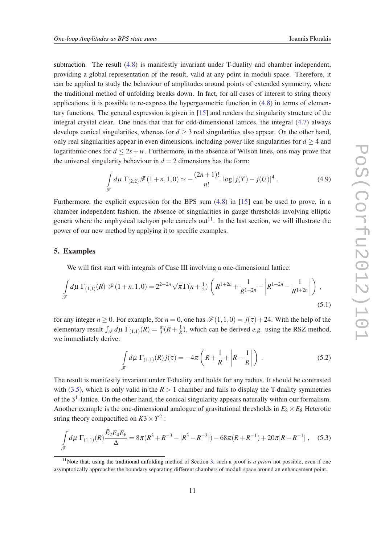<span id="page-10-0"></span>subtraction. The result ([4.8](#page-9-0)) is manifestly invariant under T-duality and chamber independent, providing a global representation of the result, valid at any point in moduli space. Therefore, it can be applied to study the behaviour of amplitudes around points of extended symmetry, where the traditional method of unfolding breaks down. In fact, for all cases of interest to string theory applications, it is possible to re-express the hypergeometric function in [\(4.8](#page-9-0)) in terms of elementary functions. The general expression is given in [[15\]](#page-13-0) and renders the singularity structure of the integral crystal clear. One finds that that for odd-dimensional lattices, the integral ([4.7](#page-9-0)) always develops conical singularities, whereas for  $d \geq 3$  real singularities also appear. On the other hand, only real singularities appear in even dimensions, including power-like singularities for  $d \geq 4$  and logarithmic ones for  $d \leq 2s + w$ . Furthermore, in the absence of Wilson lines, one may prove that the universal singularity behaviour in  $d = 2$  dimensions has the form:

$$
\int_{\mathscr{F}} d\mu \, \Gamma_{(2,2)} \mathscr{F}(1+n,1,0) \simeq -\frac{(2n+1)!}{n!} \, \log|j(T) - j(U)|^4 \, . \tag{4.9}
$$

Furthermore, the explicit expression for the BPS sum ([4.8](#page-9-0)) in [[15\]](#page-13-0) can be used to prove, in a chamber independent fashion, the absence of singularities in gauge thresholds involving elliptic genera where the unphysical tachyon pole cancels out<sup>11</sup>. In the last section, we will illustrate the power of our new method by applying it to specific examples.

# 5. Examples

We will first start with integrals of Case III involving a one-dimensional lattice:

$$
\int_{\mathscr{F}} d\mu \, \Gamma_{(1,1)}(R) \, \mathscr{F}(1+n,1,0) = 2^{2+2n} \sqrt{\pi} \Gamma(n+\frac{1}{2}) \left( R^{1+2n} + \frac{1}{R^{1+2n}} - \left| R^{1+2n} - \frac{1}{R^{1+2n}} \right| \right) \,,\tag{5.1}
$$

for any integer  $n \ge 0$ . For example, for  $n = 0$ , one has  $\mathcal{F}(1,1,0) = j(\tau) + 24$ . With the help of the elementary result  $\int_{\mathscr{F}} d\mu \Gamma_{(1,1)}(R) = \frac{\pi}{3}(R + \frac{1}{R})$ , which can be derived *e.g.* using the RSZ method, we immediately derive:

$$
\int_{\mathscr{F}} d\mu \, \Gamma_{(1,1)}(R) j(\tau) = -4\pi \left( R + \frac{1}{R} + \left| R - \frac{1}{R} \right| \right) \,. \tag{5.2}
$$

The result is manifestly invariant under T-duality and holds for any radius. It should be contrasted with [\(3.5\)](#page-5-0), which is only valid in the  $R > 1$  chamber and fails to display the T-duality symmetries of the *S* 1 -lattice. On the other hand, the conical singularity appears naturally within our formalism. Another example is the one-dimensional analogue of gravitational thresholds in  $E_8 \times E_8$  Heterotic string theory compactified on  $K3 \times T^2$ :

$$
\int_{\mathscr{F}} d\mu \, \Gamma_{(1,1)}(R) \frac{\hat{E}_2 E_4 E_6}{\Delta} = 8\pi (R^3 + R^{-3} - |R^3 - R^{-3}|) - 68\pi (R + R^{-1}) + 20\pi |R - R^{-1}| \,, \quad (5.3)
$$

<sup>&</sup>lt;sup>11</sup>Note that, using the traditional unfolding method of Section [3,](#page-4-0) such a proof is *a priori* not possible, even if one asymptotically approaches the boundary separating different chambers of moduli space around an enhancement point.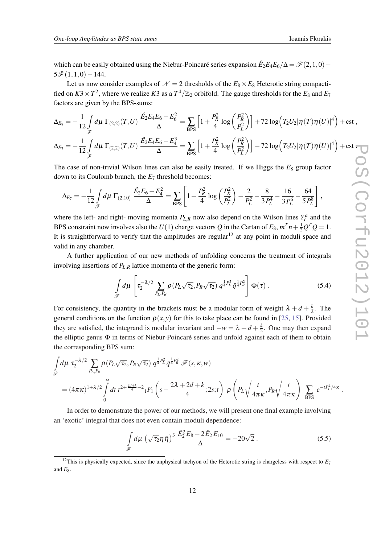<span id="page-11-0"></span>which can be easily obtained using the Niebur-Poincaré series expansion  $\hat{E}_2 E_4 E_6 / \Delta = \mathcal{F}(2,1,0) 5\mathcal{F}(1,1,0)-144.$ 

Let us now consider examples of  $\mathcal{N} = 2$  thresholds of the  $E_8 \times E_8$  Heterotic string compactified on  $K3 \times T^2$ , where we realize  $K3$  as a  $T^4/\mathbb{Z}_2$  orbifold. The gauge thresholds for the  $E_8$  and  $E_7$ factors are given by the BPS-sums:

$$
\Delta_{E_8} = -\frac{1}{12} \int_{\mathscr{F}} d\mu \ \Gamma_{(2,2)}(T, U) \ \frac{\hat{E}_2 E_4 E_6 - E_6^2}{\Delta} = \sum_{BPS} \left[ 1 + \frac{P_R^2}{4} \log \left( \frac{P_R^2}{P_L^2} \right) \right] + 72 \log \left( T_2 U_2 |\eta(T)\eta(U)|^4 \right) + \text{cst} \ ,
$$
  

$$
\Delta_{E_7} = -\frac{1}{12} \int_{\mathscr{F}} d\mu \ \Gamma_{(2,2)}(T, U) \ \frac{\hat{E}_2 E_4 E_6 - E_4^3}{\Delta} = \sum_{BPS} \left[ 1 + \frac{P_R^2}{4} \log \left( \frac{P_R^2}{P_L^2} \right) \right] - 72 \log \left( T_2 U_2 |\eta(T)\eta(U)|^4 \right) + \text{cst} \ ,
$$

The case of non-trivial Wilson lines can also be easily treated. If we Higgs the  $E_8$  group factor down to its Coulomb branch, the *E*<sup>7</sup> threshold becomes:

$$
\Delta_{E_7} = -\frac{1}{12} \int_{\mathscr{F}} d\mu \; \Gamma_{(2,10)} \; \frac{\hat{E_2} E_6 - E_4^2}{\Delta} = \sum_{BPS} \left[ 1 + \frac{P_R^2}{4} \log \left( \frac{P_R^2}{P_L^2} \right) - \frac{2}{P_L^2} - \frac{8}{3 P_L^4} - \frac{16}{3 P_L^6} - \frac{64}{5 P_L^8} \right] \,,
$$

where the left- and right- moving momenta  $P_{L,R}$  now also depend on the Wilson lines  $Y_I^a$  and the BPS constraint now involves also the  $U(1)$  charge vectors  $Q$  in the Cartan of  $E_8$ ,  $m^T n + \frac{1}{2}Q^T Q = 1$ . It is straightforward to verify that the amplitudes are regular<sup>12</sup> at any point in moduli space and valid in any chamber.

A further application of our new methods of unfolding concerns the treatment of integrals involving insertions of *PL*,*<sup>R</sup>* lattice momenta of the generic form:

$$
\int_{\mathscr{F}} d\mu \left[ \tau_2^{-\lambda/2} \sum_{P_L, P_R} \rho(P_L \sqrt{\tau_2}, P_R \sqrt{\tau_2}) q^{\frac{1}{4} P_L^2} \bar{q}^{\frac{1}{4} P_R^2} \right] \Phi(\tau) . \tag{5.4}
$$

For consistency, the quantity in the brackets must be a modular form of weight  $\lambda + d + \frac{k}{2}$  $\frac{k}{2}$ . The general conditions on the function  $\rho(x, y)$  for this to take place can be found in [\[25,](#page-14-0) [15\]](#page-13-0). Provided they are satisfied, the integrand is modular invariant and  $-w = \lambda + d + \frac{k}{2}$  $\frac{k}{2}$ . One may then expand the elliptic genus Φ in terms of Niebur-Poincaré series and unfold against each of them to obtain the corresponding BPS sum:

$$
\int_{\mathscr{F}} d\mu \ \tau_2^{-\lambda/2} \sum_{P_L, P_R} \rho(P_L \sqrt{\tau_2}, P_R \sqrt{\tau_2}) \ q^{\frac{1}{4}P_L^2} \bar{q}^{\frac{1}{4}P_R^2} \mathscr{F}(s, \kappa, w)
$$
\n
$$
= (4\pi\kappa)^{1+\lambda/2} \int_{0}^{\infty} dt \ t^{2+\frac{2d+k}{4}-2} {}_{1}F_1\left(s - \frac{2\lambda+2d+k}{4}; 2s; t\right) \ \rho\left(P_L \sqrt{\frac{t}{4\pi\kappa}}, P_R \sqrt{\frac{t}{4\pi\kappa}}\right) \sum_{BPS} e^{-tP_L^2/4\kappa}.
$$

In order to demonstrate the power of our methods, we will present one final example involving an 'exotic' integral that does not even contain moduli dependence:

$$
\int_{\mathscr{F}} d\mu \, \left(\sqrt{\tau_2} \eta \, \bar{\eta}\right)^3 \, \frac{\hat{E}_2^2 E_8 - 2 \hat{E}_2 E_{10}}{\Delta} = -20\sqrt{2} \,. \tag{5.5}
$$

<sup>&</sup>lt;sup>12</sup>This is physically expected, since the unphysical tachyon of the Heterotic string is chargeless with respect to  $E_7$ and  $E_8$ .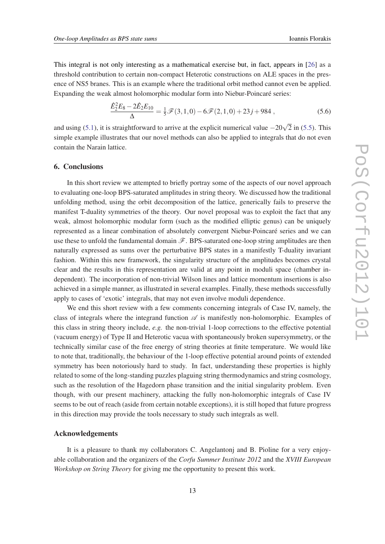This integral is not only interesting as a mathematical exercise but, in fact, appears in [\[26\]](#page-14-0) as a threshold contribution to certain non-compact Heterotic constructions on ALE spaces in the presence of NS5 branes. This is an example where the traditional orbit method cannot even be applied. Expanding the weak almost holomorphic modular form into Niebur-Poincaré series:

$$
\frac{\hat{E}_2^2 E_8 - 2\hat{E}_2 E_{10}}{\Delta} = \frac{1}{5} \mathcal{F}(3, 1, 0) - 6\mathcal{F}(2, 1, 0) + 23j + 984 ,\qquad (5.6)
$$

and using ([5.1\)](#page-10-0), it is straightforward to arrive at the explicit numerical value  $-20\sqrt{2}$  in ([5.5\)](#page-11-0). This simple example illustrates that our novel methods can also be applied to integrals that do not even contain the Narain lattice.

## 6. Conclusions

In this short review we attempted to briefly portray some of the aspects of our novel approach to evaluating one-loop BPS-saturated amplitudes in string theory. We discussed how the traditional unfolding method, using the orbit decomposition of the lattice, generically fails to preserve the manifest T-duality symmetries of the theory. Our novel proposal was to exploit the fact that any weak, almost holomorphic modular form (such as the modified elliptic genus) can be uniquely represented as a linear combination of absolutely convergent Niebur-Poincaré series and we can use these to unfold the fundamental domain  $\mathscr{F}$ . BPS-saturated one-loop string amplitudes are then naturally expressed as sums over the perturbative BPS states in a manifestly T-duality invariant fashion. Within this new framework, the singularity structure of the amplitudes becomes crystal clear and the results in this representation are valid at any point in moduli space (chamber independent). The incorporation of non-trivial Wilson lines and lattice momentum insertions is also achieved in a simple manner, as illustrated in several examples. Finally, these methods successfully apply to cases of 'exotic' integrals, that may not even involve moduli dependence.

We end this short review with a few comments concerning integrals of Case IV, namely, the class of integrals where the integrand function  $\mathscr A$  is manifestly non-holomorphic. Examples of this class in string theory include, *e.g.* the non-trivial 1-loop corrections to the effective potential (vacuum energy) of Type II and Heterotic vacua with spontaneously broken supersymmetry, or the technically similar case of the free energy of string theories at finite temperature. We would like to note that, traditionally, the behaviour of the 1-loop effective potential around points of extended symmetry has been notoriously hard to study. In fact, understanding these properties is highly related to some of the long-standing puzzles plaguing string thermodynamics and string cosmology, such as the resolution of the Hagedorn phase transition and the initial singularity problem. Even though, with our present machinery, attacking the fully non-holomorphic integrals of Case IV seems to be out of reach (aside from certain notable exceptions), it is still hoped that future progress in this direction may provide the tools necessary to study such integrals as well.

#### Acknowledgements

It is a pleasure to thank my collaborators C. Angelantonj and B. Pioline for a very enjoyable collaboration and the organizers of the *Corfu Summer Institute 2012* and the *XVIII European Workshop on String Theory* for giving me the opportunity to present this work.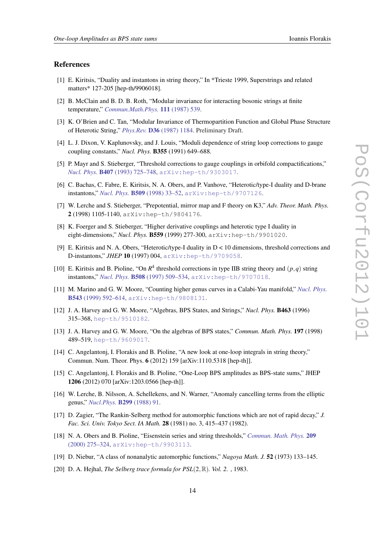#### <span id="page-13-0"></span>References

- [1] E. Kiritsis, "Duality and instantons in string theory," In \*Trieste 1999, Superstrings and related matters\* 127-205 [hep-th/9906018].
- [2] B. McClain and B. D. B. Roth, "Modular invariance for interacting bosonic strings at finite temperature," *[Commun.Math.Phys.](http://dx.doi.org/10.1007/BF01219073)* 111 (1987) 539.
- [3] K. O'Brien and C. Tan, "Modular Invariance of Thermopartition Function and Global Phase Structure of Heterotic String," *Phys.Rev.* D36 [\(1987\) 1184](http://dx.doi.org/10.1103/PhysRevD.36.1184). Preliminary Draft.
- [4] L. J. Dixon, V. Kaplunovsky, and J. Louis, "Moduli dependence of string loop corrections to gauge coupling constants," *Nucl. Phys.* B355 (1991) 649–688.
- [5] P. Mayr and S. Stieberger, "Threshold corrections to gauge couplings in orbifold compactifications," *Nucl. Phys.* B407 [\(1993\) 725–748,](http://dx.doi.org/10.1016/0550-3213(93)90096-8) [arXiv:hep-th/9303017](http://arxiv.org/abs/hep-th/9303017).
- [6] C. Bachas, C. Fabre, E. Kiritsis, N. A. Obers, and P. Vanhove, "Heterotic/type-I duality and D-brane instantons," *Nucl. Phys.* B509 [\(1998\) 33–52,](http://dx.doi.org/10.1016/S0550-3213(97)00639-1) [arXiv:hep-th/9707126](http://arxiv.org/abs/hep-th/9707126).
- [7] W. Lerche and S. Stieberger, "Prepotential, mirror map and F theory on K3," *Adv. Theor. Math. Phys.* 2 (1998) 1105-1140, arXiv:hep-th/9804176.
- [8] K. Foerger and S. Stieberger, "Higher derivative couplings and heterotic type I duality in eight-dimensions," *Nucl. Phys.* B559 (1999) 277-300, arXiv:hep-th/9901020.
- [9] E. Kiritsis and N. A. Obers, "Heterotic/type-I duality in D < 10 dimensions, threshold corrections and D-instantons," *JHEP* 10 (1997) 004, [arXiv:hep-th/9709058](http://arxiv.org/abs/hep-th/9709058).
- [10] E. Kiritsis and B. Pioline, "On  $R^4$  threshold corrections in type IIB string theory and  $(p,q)$  string instantons," *Nucl. Phys.* B508 [\(1997\) 509–534,](http://dx.doi.org/10.1016/S0550-3213(97)00645-7) [arXiv:hep-th/9707018](http://arxiv.org/abs/hep-th/9707018).
- [11] M. Marino and G. W. Moore, "Counting higher genus curves in a Calabi-Yau manifold," *[Nucl. Phys.](http://dx.doi.org/10.1016/S0550-3213(98)00847-5)* B543 [\(1999\) 592–614](http://dx.doi.org/10.1016/S0550-3213(98)00847-5), [arXiv:hep-th/9808131](http://arxiv.org/abs/hep-th/9808131).
- [12] J. A. Harvey and G. W. Moore, "Algebras, BPS States, and Strings," *Nucl. Phys.* B463 (1996) 315–368, [hep-th/9510182](http://arxiv.org/abs/hep-th/9510182).
- [13] J. A. Harvey and G. W. Moore, "On the algebras of BPS states," *Commun. Math. Phys.* 197 (1998) 489–519, [hep-th/9609017](http://arxiv.org/abs/hep-th/9609017).
- [14] C. Angelantonj, I. Florakis and B. Pioline, "A new look at one-loop integrals in string theory," Commun. Num. Theor. Phys. 6 (2012) 159 [arXiv:1110.5318 [hep-th]].
- [15] C. Angelantonj, I. Florakis and B. Pioline, "One-Loop BPS amplitudes as BPS-state sums," JHEP 1206 (2012) 070 [arXiv:1203.0566 [hep-th]].
- [16] W. Lerche, B. Nilsson, A. Schellekens, and N. Warner, "Anomaly cancelling terms from the elliptic genus," *[Nucl.Phys.](http://dx.doi.org/10.1016/0550-3213(88)90468-3)* B299 (1988) 91.
- [17] D. Zagier, "The Rankin-Selberg method for automorphic functions which are not of rapid decay," *J. Fac. Sci. Univ. Tokyo Sect. IA Math.* 28 (1981) no. 3, 415–437 (1982).
- [18] N. A. Obers and B. Pioline, "Eisenstein series and string thresholds," *[Commun. Math. Phys.](http://dx.doi.org/10.1007/s002200050022)* 209 [\(2000\) 275–324](http://dx.doi.org/10.1007/s002200050022), [arXiv:hep-th/9903113](http://arxiv.org/abs/hep-th/9903113).
- [19] D. Niebur, "A class of nonanalytic automorphic functions," *Nagoya Math. J.* 52 (1973) 133–145.
- [20] D. A. Hejhal, *The Selberg trace formula for PSL*(2, R). *Vol.* 2., 1983.